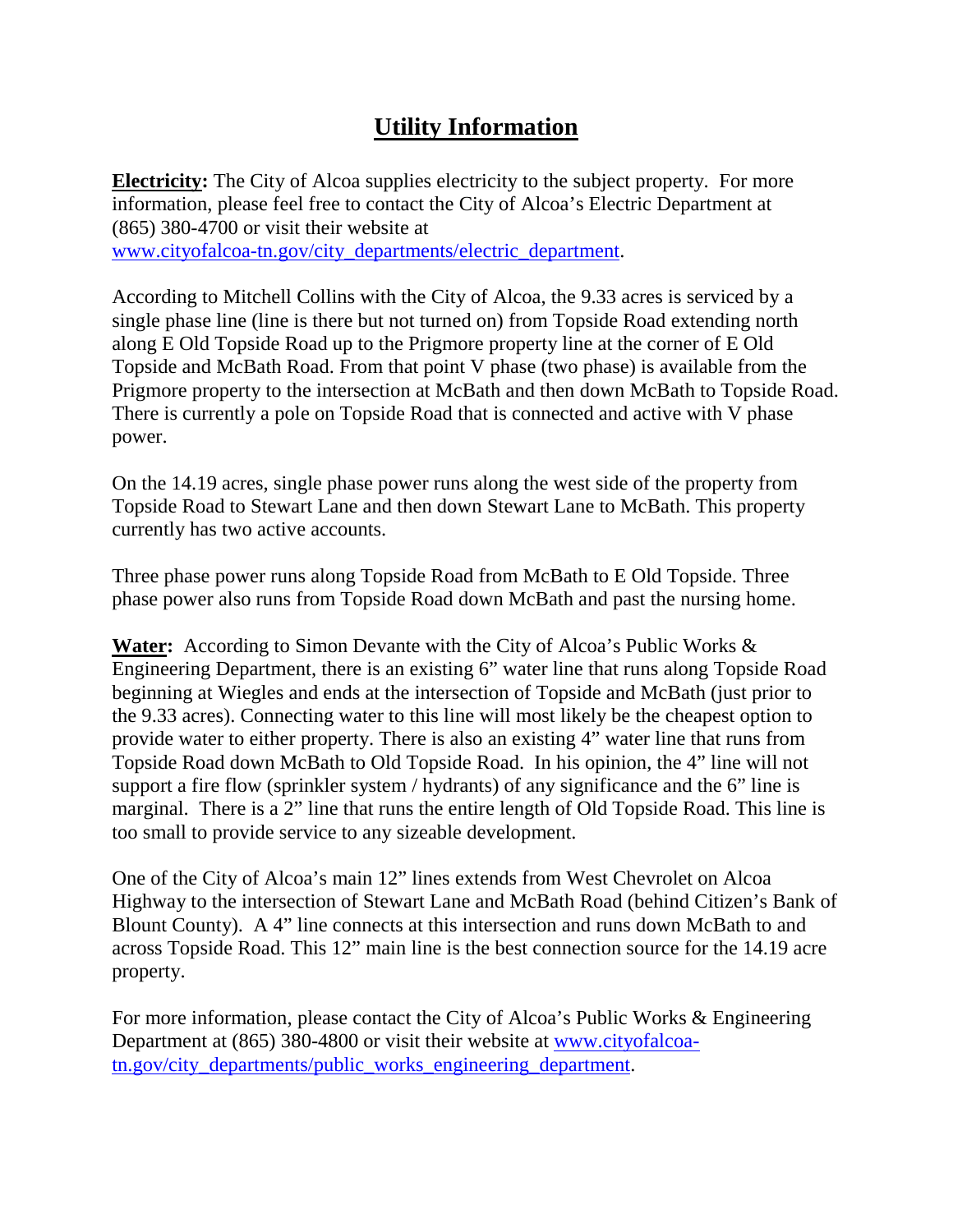## **Utility Information**

**Electricity:** The City of Alcoa supplies electricity to the subject property. For more information, please feel free to contact the City of Alcoa's Electric Department at (865) 380-4700 or visit their website at [www.cityofalcoa-tn.gov/city\\_departments/electric\\_department.](http://www.cityofalcoa-tn.gov/city_departments/electric_department)

According to Mitchell Collins with the City of Alcoa, the 9.33 acres is serviced by a single phase line (line is there but not turned on) from Topside Road extending north along E Old Topside Road up to the Prigmore property line at the corner of E Old Topside and McBath Road. From that point V phase (two phase) is available from the Prigmore property to the intersection at McBath and then down McBath to Topside Road. There is currently a pole on Topside Road that is connected and active with V phase power.

On the 14.19 acres, single phase power runs along the west side of the property from Topside Road to Stewart Lane and then down Stewart Lane to McBath. This property currently has two active accounts.

Three phase power runs along Topside Road from McBath to E Old Topside. Three phase power also runs from Topside Road down McBath and past the nursing home.

**Water:** According to Simon Devante with the City of Alcoa's Public Works & Engineering Department, there is an existing 6" water line that runs along Topside Road beginning at Wiegles and ends at the intersection of Topside and McBath (just prior to the 9.33 acres). Connecting water to this line will most likely be the cheapest option to provide water to either property. There is also an existing 4" water line that runs from Topside Road down McBath to Old Topside Road. In his opinion, the 4" line will not support a fire flow (sprinkler system / hydrants) of any significance and the 6" line is marginal. There is a 2" line that runs the entire length of Old Topside Road. This line is too small to provide service to any sizeable development.

One of the City of Alcoa's main 12" lines extends from West Chevrolet on Alcoa Highway to the intersection of Stewart Lane and McBath Road (behind Citizen's Bank of Blount County). A 4" line connects at this intersection and runs down McBath to and across Topside Road. This 12" main line is the best connection source for the 14.19 acre property.

For more information, please contact the City of Alcoa's Public Works & Engineering Department at (865) 380-4800 or visit their website at [www.cityofalcoa](http://www.cityofalcoa-tn.gov/city_departments/public_works_engineering_department)[tn.gov/city\\_departments/public\\_works\\_engineering\\_department.](http://www.cityofalcoa-tn.gov/city_departments/public_works_engineering_department)